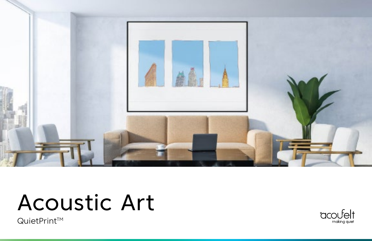

# Acoustic Art

QuietPrintTM

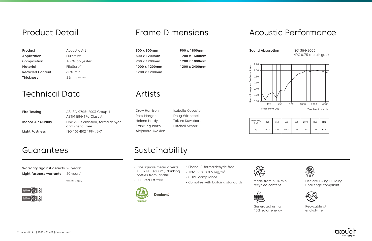**Product Acoustic Art** Application Furniture Composition 100% polyester Material FilaSorb™ Recycled Content 60% min Thickness 25mm +/- 10%

## Product Detail **Frame Dimensions**

900 x 900mm 900 x 1800mm 800 x 1200mm 1200 x 1600mm 900 x 1200mm 1200 x 1800mm 1000 x 1200mm 1200 x 2400mm 1200 x 1200mm

| Fire Testing              | AS ISO 9705: 2003 Group 1                          |  |  |
|---------------------------|----------------------------------------------------|--|--|
|                           | ASTM E84-17a Class A                               |  |  |
| <b>Indoor Air Quality</b> | Low VOCs emission, formaldehyde<br>and Phenol-free |  |  |
| Light Fastness            | ISO 105-B02 1994, 6-7                              |  |  |

Drew Harrison Ross Morgan Helene Hardy Frank Inguanzo Alejandro Avakian

Isabella Cuccato Doug Wittnebel Takuro Kuwabara Mitchell Schorr

#### Guarantees Sustainability

#### Warranty against defects 20 years\* Light fastness warranty 20 years\*

### Acoustic Performance

| Frequency<br>(Hz) | 125  |  |  |
|-------------------|------|--|--|
| a٠                | በ 23 |  |  |

### **Technical Data**

|  |  | Artists |  |
|--|--|---------|--|
|  |  |         |  |

| quency<br>(Hz) | 125  | 250  | 500  | 1000 | 2000 | 4000 | <b>NRC</b> |
|----------------|------|------|------|------|------|------|------------|
| a <sub>s</sub> | 0.23 | 0.35 | 0.67 | 0.93 | 1.06 | 0.94 | 0.75       |



• LBC Red list free





\*conditions apply



• Phenol & formaldehyde free

- Total VOC's 0.5 mg/m3
- CDPH compliance
- Complies with building standards Made from 60% min.

recycled content





Generated using 40% solar energy

Declare Living Building Challenge compliant



Recycable at end-of-life